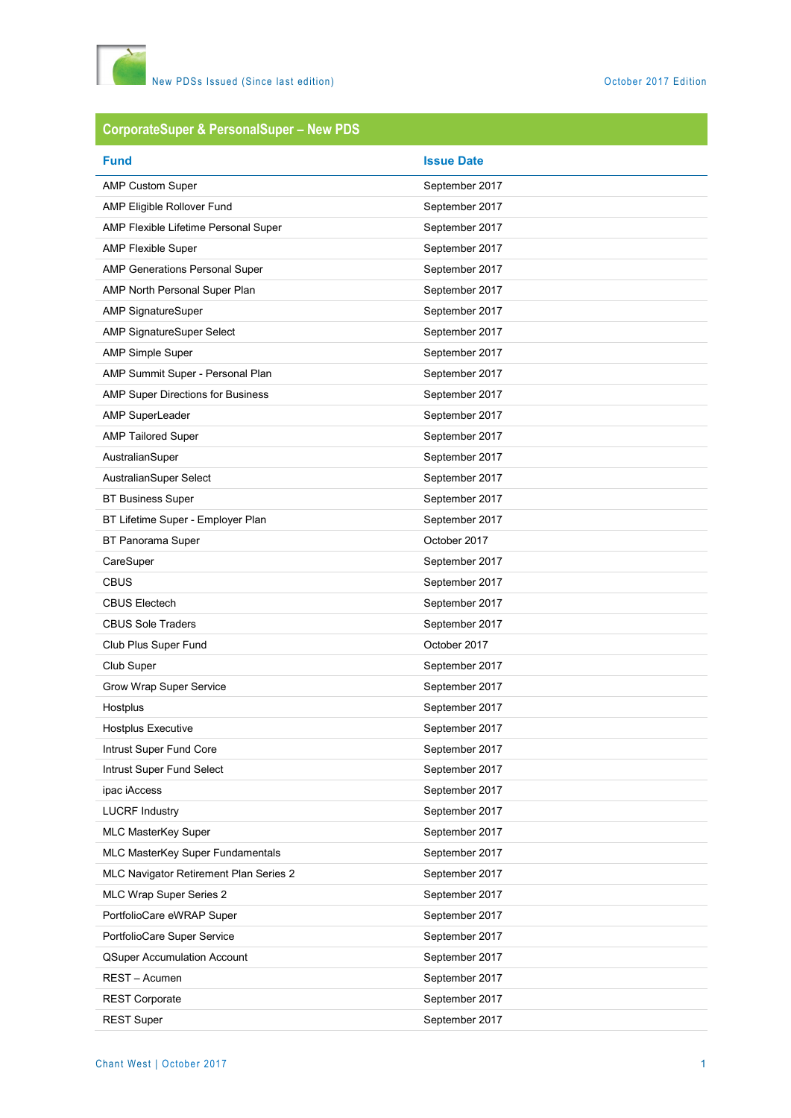

# **CorporateSuper & PersonalSuper – New PDS**

| <b>Fund</b>                            | <b>Issue Date</b> |
|----------------------------------------|-------------------|
| <b>AMP Custom Super</b>                | September 2017    |
| AMP Eligible Rollover Fund             | September 2017    |
| AMP Flexible Lifetime Personal Super   | September 2017    |
| <b>AMP Flexible Super</b>              | September 2017    |
| <b>AMP Generations Personal Super</b>  | September 2017    |
| AMP North Personal Super Plan          | September 2017    |
| <b>AMP SignatureSuper</b>              | September 2017    |
| AMP SignatureSuper Select              | September 2017    |
| <b>AMP Simple Super</b>                | September 2017    |
| AMP Summit Super - Personal Plan       | September 2017    |
| AMP Super Directions for Business      | September 2017    |
| AMP SuperLeader                        | September 2017    |
| <b>AMP Tailored Super</b>              | September 2017    |
| AustralianSuper                        | September 2017    |
| AustralianSuper Select                 | September 2017    |
| <b>BT Business Super</b>               | September 2017    |
| BT Lifetime Super - Employer Plan      | September 2017    |
| BT Panorama Super                      | October 2017      |
| CareSuper                              | September 2017    |
| <b>CBUS</b>                            | September 2017    |
| <b>CBUS Electech</b>                   | September 2017    |
| <b>CBUS Sole Traders</b>               | September 2017    |
| Club Plus Super Fund                   | October 2017      |
| Club Super                             | September 2017    |
| Grow Wrap Super Service                | September 2017    |
| Hostplus                               | September 2017    |
| <b>Hostplus Executive</b>              | September 2017    |
| Intrust Super Fund Core                | September 2017    |
| Intrust Super Fund Select              | September 2017    |
| ipac iAccess                           | September 2017    |
| <b>LUCRF Industry</b>                  | September 2017    |
| MLC MasterKey Super                    | September 2017    |
| MLC MasterKey Super Fundamentals       | September 2017    |
| MLC Navigator Retirement Plan Series 2 | September 2017    |
| MLC Wrap Super Series 2                | September 2017    |
| PortfolioCare eWRAP Super              | September 2017    |
| PortfolioCare Super Service            | September 2017    |
| <b>QSuper Accumulation Account</b>     | September 2017    |
| REST - Acumen                          | September 2017    |
| <b>REST Corporate</b>                  | September 2017    |
| <b>REST Super</b>                      | September 2017    |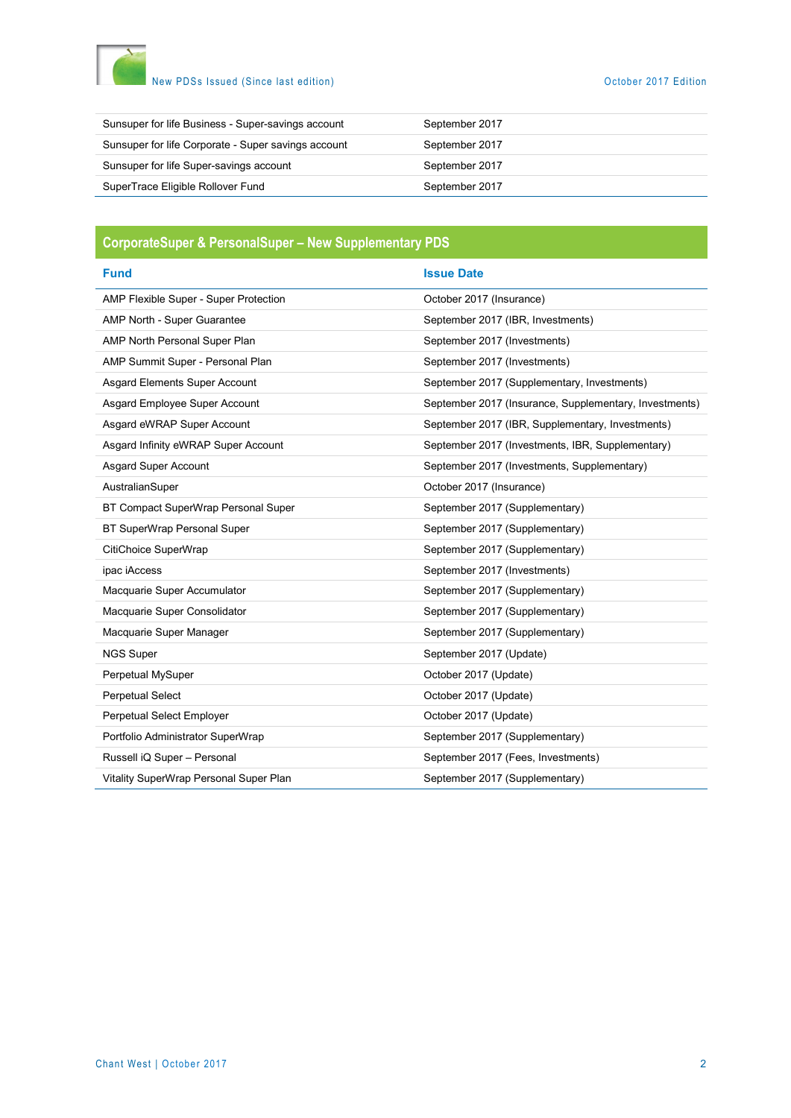

## New PDSs Issued (Since last edition) and the control of the Control of the October 2017 Edition

| Sunsuper for life Corporate - Super savings account<br>September 2017 |  |
|-----------------------------------------------------------------------|--|
| Sunsuper for life Super-savings account<br>September 2017             |  |
| SuperTrace Eligible Rollover Fund<br>September 2017                   |  |

## **CorporateSuper & PersonalSuper – New Supplementary PDS**

| <b>Fund</b>                            | <b>Issue Date</b>                                      |
|----------------------------------------|--------------------------------------------------------|
| AMP Flexible Super - Super Protection  | October 2017 (Insurance)                               |
| AMP North - Super Guarantee            | September 2017 (IBR, Investments)                      |
| AMP North Personal Super Plan          | September 2017 (Investments)                           |
| AMP Summit Super - Personal Plan       | September 2017 (Investments)                           |
| Asgard Elements Super Account          | September 2017 (Supplementary, Investments)            |
| Asgard Employee Super Account          | September 2017 (Insurance, Supplementary, Investments) |
| Asgard eWRAP Super Account             | September 2017 (IBR, Supplementary, Investments)       |
| Asgard Infinity eWRAP Super Account    | September 2017 (Investments, IBR, Supplementary)       |
| <b>Asgard Super Account</b>            | September 2017 (Investments, Supplementary)            |
| AustralianSuper                        | October 2017 (Insurance)                               |
| BT Compact SuperWrap Personal Super    | September 2017 (Supplementary)                         |
| BT SuperWrap Personal Super            | September 2017 (Supplementary)                         |
| CitiChoice SuperWrap                   | September 2017 (Supplementary)                         |
| ipac iAccess                           | September 2017 (Investments)                           |
| Macquarie Super Accumulator            | September 2017 (Supplementary)                         |
| Macquarie Super Consolidator           | September 2017 (Supplementary)                         |
| Macquarie Super Manager                | September 2017 (Supplementary)                         |
| <b>NGS Super</b>                       | September 2017 (Update)                                |
| Perpetual MySuper                      | October 2017 (Update)                                  |
| <b>Perpetual Select</b>                | October 2017 (Update)                                  |
| Perpetual Select Employer              | October 2017 (Update)                                  |
| Portfolio Administrator SuperWrap      | September 2017 (Supplementary)                         |
| Russell iQ Super - Personal            | September 2017 (Fees, Investments)                     |
| Vitality SuperWrap Personal Super Plan | September 2017 (Supplementary)                         |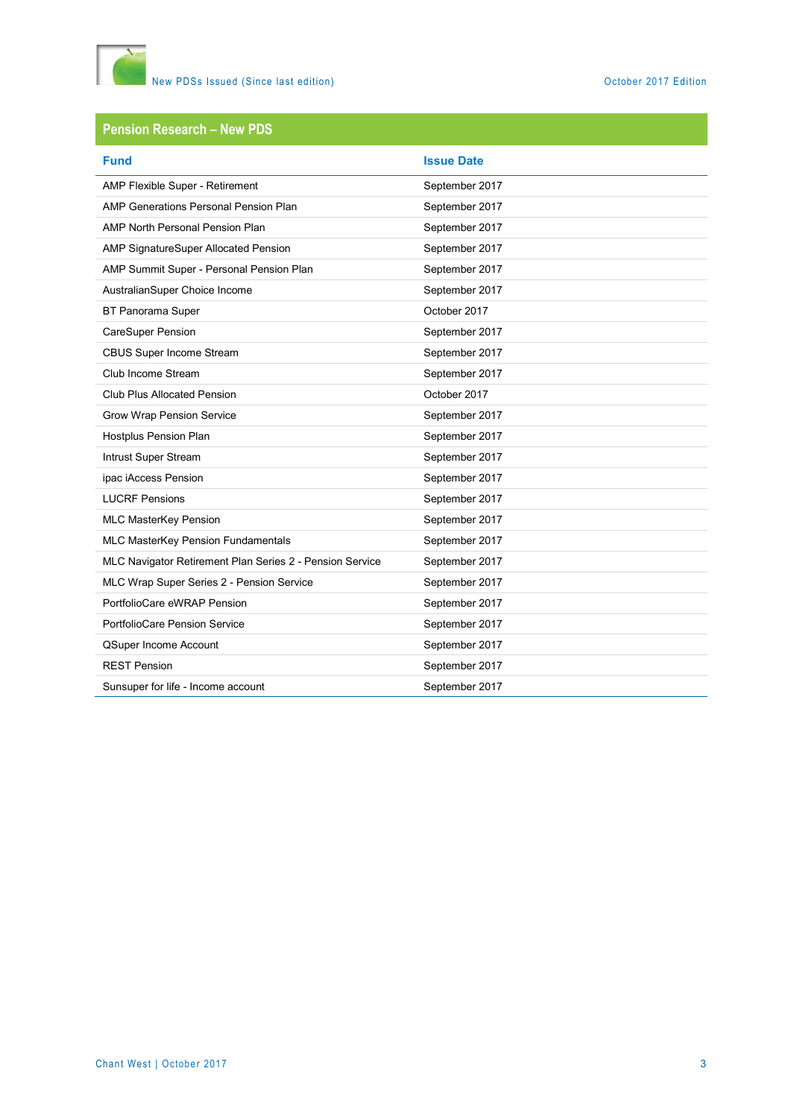

#### **Pension Research – New PDS**

| <b>Fund</b>                                              | <b>Issue Date</b> |
|----------------------------------------------------------|-------------------|
| AMP Flexible Super - Retirement                          | September 2017    |
| AMP Generations Personal Pension Plan                    | September 2017    |
| AMP North Personal Pension Plan                          | September 2017    |
| AMP SignatureSuper Allocated Pension                     | September 2017    |
| AMP Summit Super - Personal Pension Plan                 | September 2017    |
| AustralianSuper Choice Income                            | September 2017    |
| BT Panorama Super                                        | October 2017      |
| CareSuper Pension                                        | September 2017    |
| CBUS Super Income Stream                                 | September 2017    |
| Club Income Stream                                       | September 2017    |
| <b>Club Plus Allocated Pension</b>                       | October 2017      |
| Grow Wrap Pension Service                                | September 2017    |
| Hostplus Pension Plan                                    | September 2017    |
| Intrust Super Stream                                     | September 2017    |
| ipac iAccess Pension                                     | September 2017    |
| <b>LUCRF Pensions</b>                                    | September 2017    |
| MLC MasterKey Pension                                    | September 2017    |
| MLC MasterKey Pension Fundamentals                       | September 2017    |
| MLC Navigator Retirement Plan Series 2 - Pension Service | September 2017    |
| MLC Wrap Super Series 2 - Pension Service                | September 2017    |
| PortfolioCare eWRAP Pension                              | September 2017    |
| PortfolioCare Pension Service                            | September 2017    |
| QSuper Income Account                                    | September 2017    |
| <b>REST Pension</b>                                      | September 2017    |
| Sunsuper for life - Income account                       | September 2017    |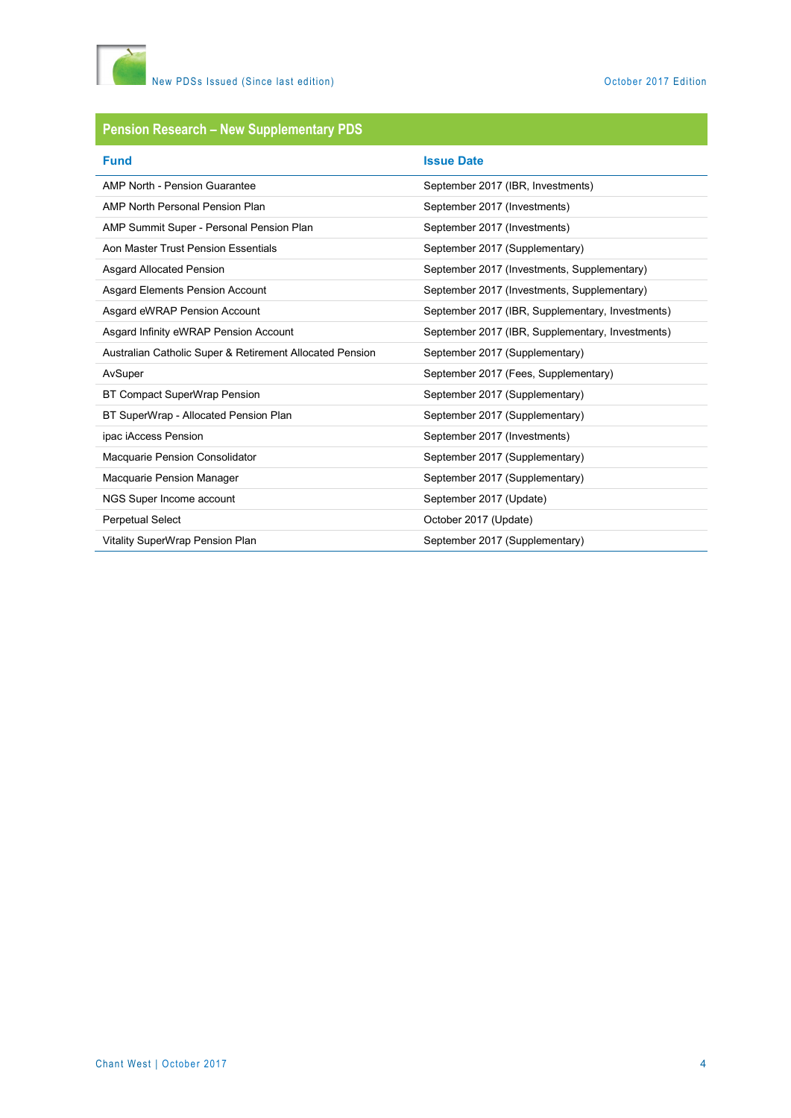

## **Pension Research – New Supplementary PDS**

| <b>Fund</b>                                              | <b>Issue Date</b>                                |
|----------------------------------------------------------|--------------------------------------------------|
| AMP North - Pension Guarantee                            | September 2017 (IBR, Investments)                |
| AMP North Personal Pension Plan                          | September 2017 (Investments)                     |
| AMP Summit Super - Personal Pension Plan                 | September 2017 (Investments)                     |
| Aon Master Trust Pension Essentials                      | September 2017 (Supplementary)                   |
| <b>Asgard Allocated Pension</b>                          | September 2017 (Investments, Supplementary)      |
| Asgard Elements Pension Account                          | September 2017 (Investments, Supplementary)      |
| Asgard eWRAP Pension Account                             | September 2017 (IBR, Supplementary, Investments) |
| Asgard Infinity eWRAP Pension Account                    | September 2017 (IBR, Supplementary, Investments) |
| Australian Catholic Super & Retirement Allocated Pension | September 2017 (Supplementary)                   |
| AvSuper                                                  | September 2017 (Fees, Supplementary)             |
| BT Compact SuperWrap Pension                             | September 2017 (Supplementary)                   |
| BT SuperWrap - Allocated Pension Plan                    | September 2017 (Supplementary)                   |
| ipac iAccess Pension                                     | September 2017 (Investments)                     |
| Macquarie Pension Consolidator                           | September 2017 (Supplementary)                   |
| Macquarie Pension Manager                                | September 2017 (Supplementary)                   |
| NGS Super Income account                                 | September 2017 (Update)                          |
| <b>Perpetual Select</b>                                  | October 2017 (Update)                            |
| Vitality SuperWrap Pension Plan                          | September 2017 (Supplementary)                   |